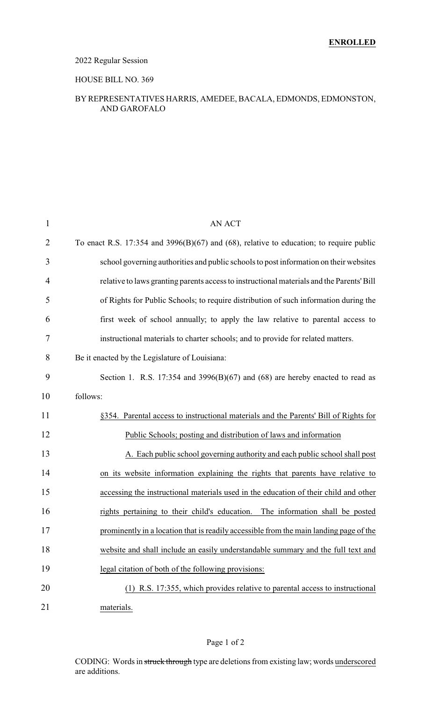### 2022 Regular Session

#### HOUSE BILL NO. 369

#### BY REPRESENTATIVES HARRIS, AMEDEE, BACALA, EDMONDS, EDMONSTON, AND GAROFALO

| $\mathbf{1}$   | <b>AN ACT</b>                                                                             |
|----------------|-------------------------------------------------------------------------------------------|
| $\overline{2}$ | To enact R.S. 17:354 and 3996(B)(67) and (68), relative to education; to require public   |
| 3              | school governing authorities and public schools to post information on their websites     |
| $\overline{4}$ | relative to laws granting parents access to instructional materials and the Parents' Bill |
| 5              | of Rights for Public Schools; to require distribution of such information during the      |
| 6              | first week of school annually; to apply the law relative to parental access to            |
| 7              | instructional materials to charter schools; and to provide for related matters.           |
| 8              | Be it enacted by the Legislature of Louisiana:                                            |
| 9              | Section 1. R.S. 17:354 and 3996(B)(67) and (68) are hereby enacted to read as             |
| 10             | follows:                                                                                  |
| 11             | §354. Parental access to instructional materials and the Parents' Bill of Rights for      |
| 12             | Public Schools; posting and distribution of laws and information                          |
| 13             | A. Each public school governing authority and each public school shall post               |
| 14             | on its website information explaining the rights that parents have relative to            |
| 15             | accessing the instructional materials used in the education of their child and other      |
| 16             | rights pertaining to their child's education. The information shall be posted             |
| 17             | prominently in a location that is readily accessible from the main landing page of the    |
| 18             | website and shall include an easily understandable summary and the full text and          |
| 19             | legal citation of both of the following provisions:                                       |
| 20             | (1) R.S. 17:355, which provides relative to parental access to instructional              |
| 21             | materials.                                                                                |